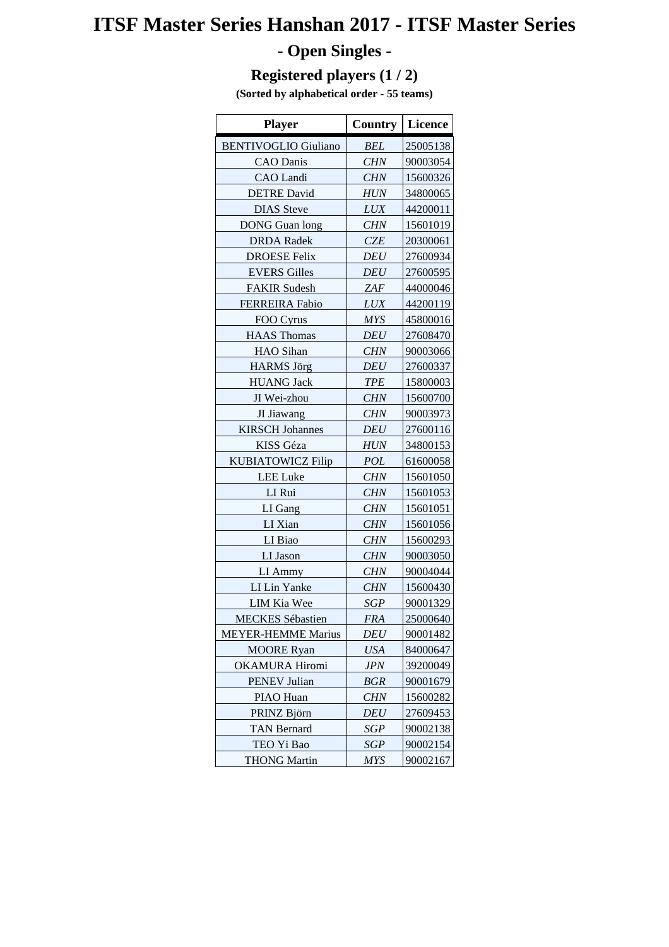# **ITSF Master Series Hanshan 2017 - ITSF Master Series**

## **- Open Singles -**

### **Registered players (1 / 2)**

**(Sorted by alphabetical order - 55 teams)**

| <b>Player</b>               | <b>Country</b> | <b>Licence</b> |
|-----------------------------|----------------|----------------|
| <b>BENTIVOGLIO Giuliano</b> | <b>BEL</b>     | 25005138       |
| <b>CAO</b> Danis            | <b>CHN</b>     | 90003054       |
| <b>CAO</b> Landi            | <b>CHN</b>     | 15600326       |
| <b>DETRE David</b>          | <b>HUN</b>     | 34800065       |
| <b>DIAS</b> Steve           | <b>LUX</b>     | 44200011       |
| <b>DONG</b> Guan long       | <b>CHN</b>     | 15601019       |
| <b>DRDA</b> Radek           | <b>CZE</b>     | 20300061       |
| <b>DROESE Felix</b>         | <b>DEU</b>     | 27600934       |
| <b>EVERS Gilles</b>         | <b>DEU</b>     | 27600595       |
| <b>FAKIR Sudesh</b>         | <b>ZAF</b>     | 44000046       |
| <b>FERREIRA Fabio</b>       | <b>LUX</b>     | 44200119       |
| FOO Cyrus                   | <b>MYS</b>     | 45800016       |
| <b>HAAS Thomas</b>          | <b>DEU</b>     | 27608470       |
| <b>HAO</b> Sihan            | <b>CHN</b>     | 90003066       |
| <b>HARMS</b> Jörg           | <b>DEU</b>     | 27600337       |
| <b>HUANG Jack</b>           | <b>TPE</b>     | 15800003       |
| JI Wei-zhou                 | <b>CHN</b>     | 15600700       |
| JI Jiawang                  | <b>CHN</b>     | 90003973       |
| <b>KIRSCH Johannes</b>      | <b>DEU</b>     | 27600116       |
| <b>KISS</b> Géza            | <b>HUN</b>     | 34800153       |
| <b>KUBIATOWICZ Filip</b>    | POL            | 61600058       |
| <b>LEE</b> Luke             | <b>CHN</b>     | 15601050       |
| LI Rui                      | <b>CHN</b>     | 15601053       |
| LI Gang                     | <b>CHN</b>     | 15601051       |
| LI Xian                     | <b>CHN</b>     | 15601056       |
| LI Biao                     | <b>CHN</b>     | 15600293       |
| LI Jason                    | <b>CHN</b>     | 90003050       |
| LI Ammy                     | <b>CHN</b>     | 90004044       |
| LI Lin Yanke                | <b>CHN</b>     | 15600430       |
| LIM Kia Wee                 | <b>SGP</b>     | 90001329       |
| <b>MECKES</b> Sébastien     | <b>FRA</b>     | 25000640       |
| <b>MEYER-HEMME Marius</b>   | DEU            | 90001482       |
| <b>MOORE</b> Ryan           | <b>USA</b>     | 84000647       |
| <b>OKAMURA Hiromi</b>       | <b>JPN</b>     | 39200049       |
| <b>PENEV Julian</b>         | BGR            | 90001679       |
| PIAO Huan                   | <b>CHN</b>     | 15600282       |
| PRINZ Björn                 | DEU            | 27609453       |
| <b>TAN Bernard</b>          | SGP            | 90002138       |
| TEO Yi Bao                  | <b>SGP</b>     | 90002154       |
| <b>THONG Martin</b>         | <b>MYS</b>     | 90002167       |